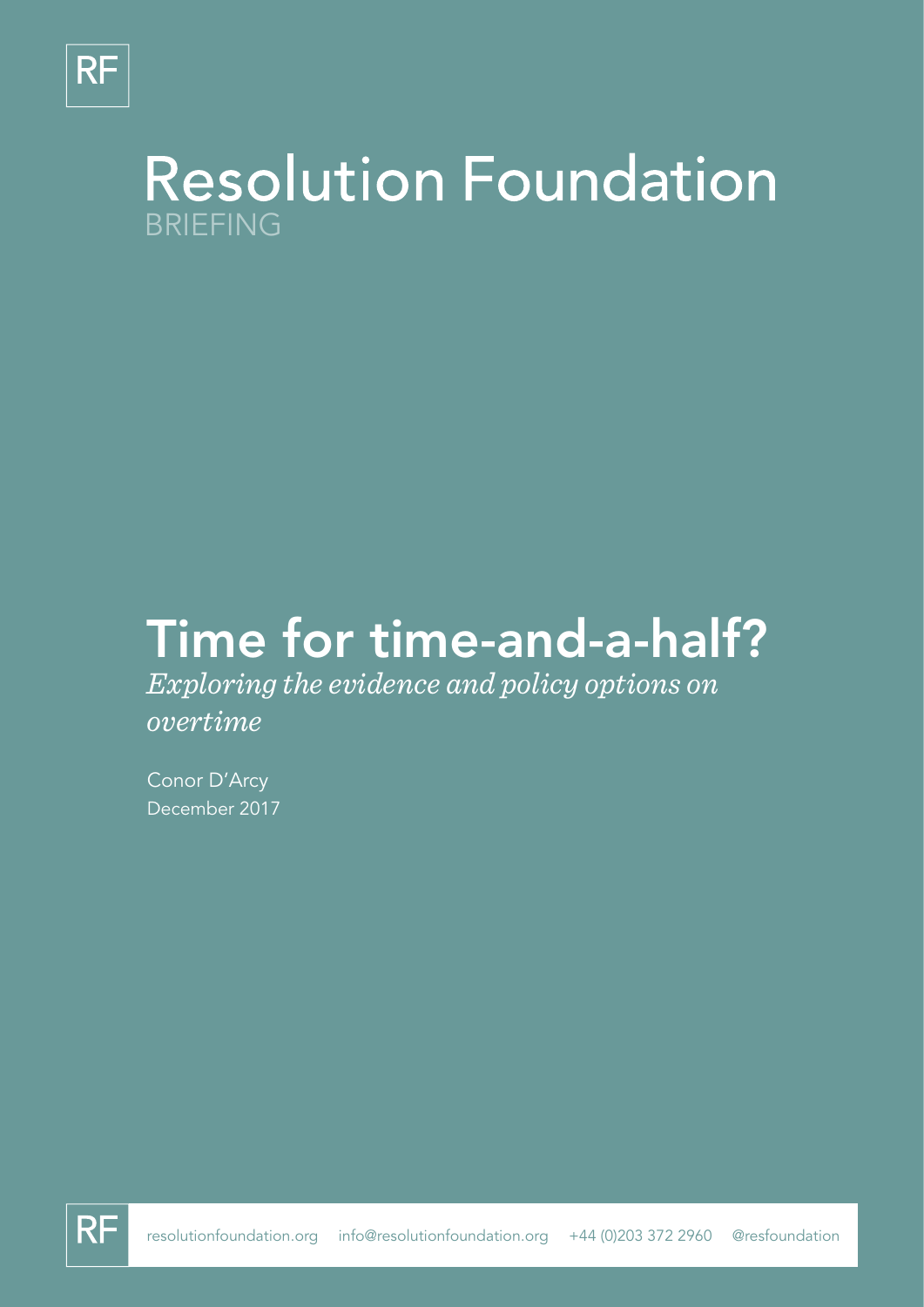

## **Resolution Foundation** BRIEFING

# Time for time-and-a-half?

*Exploring the evidence and policy options on overtime*

Conor D'Arcy December 2017

**RF**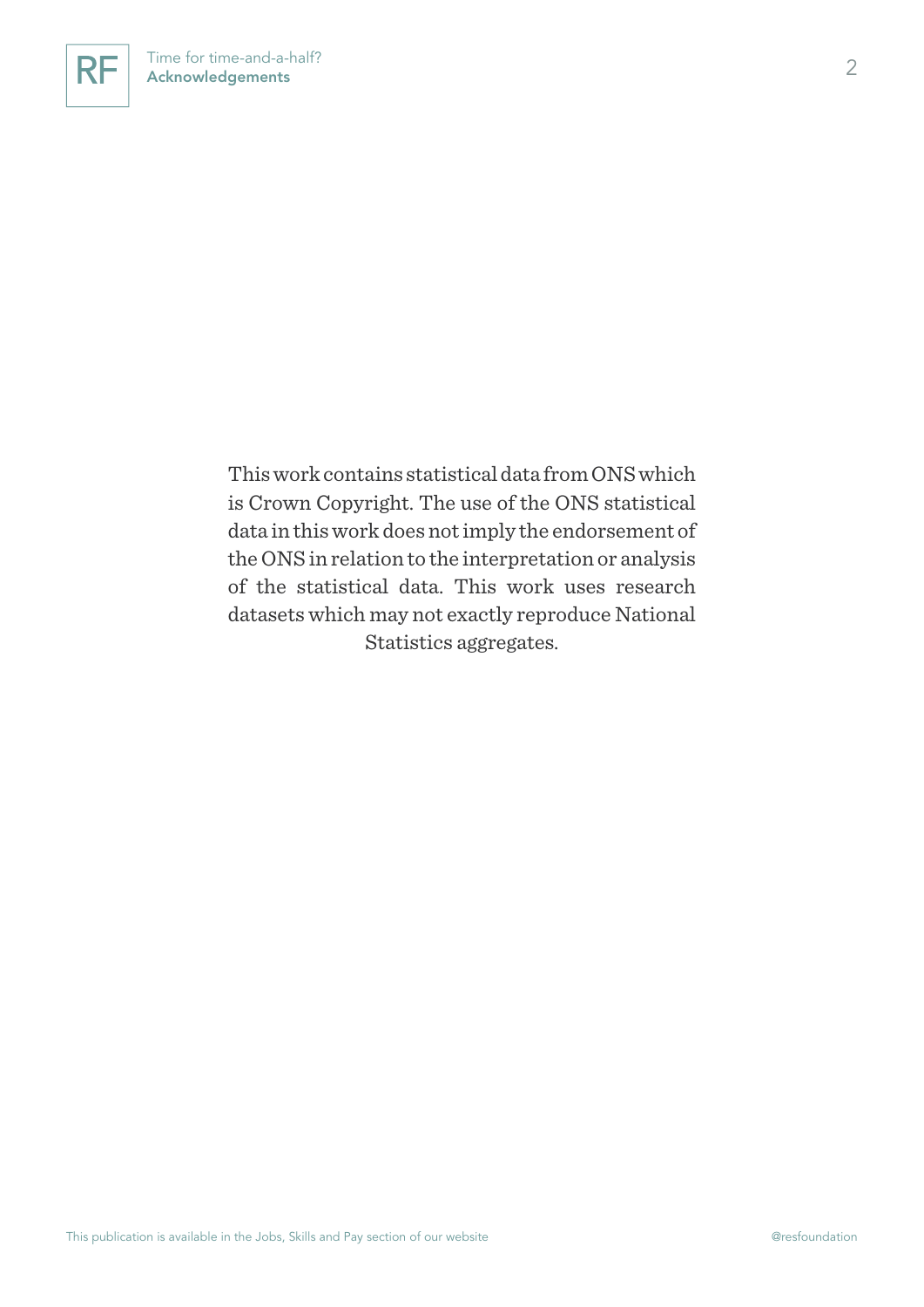

This work contains statistical data from ONS which is Crown Copyright. The use of the ONS statistical data in this work does not imply the endorsement of the ONS in relation to the interpretation or analysis of the statistical data. This work uses research datasets which may not exactly reproduce National Statistics aggregates.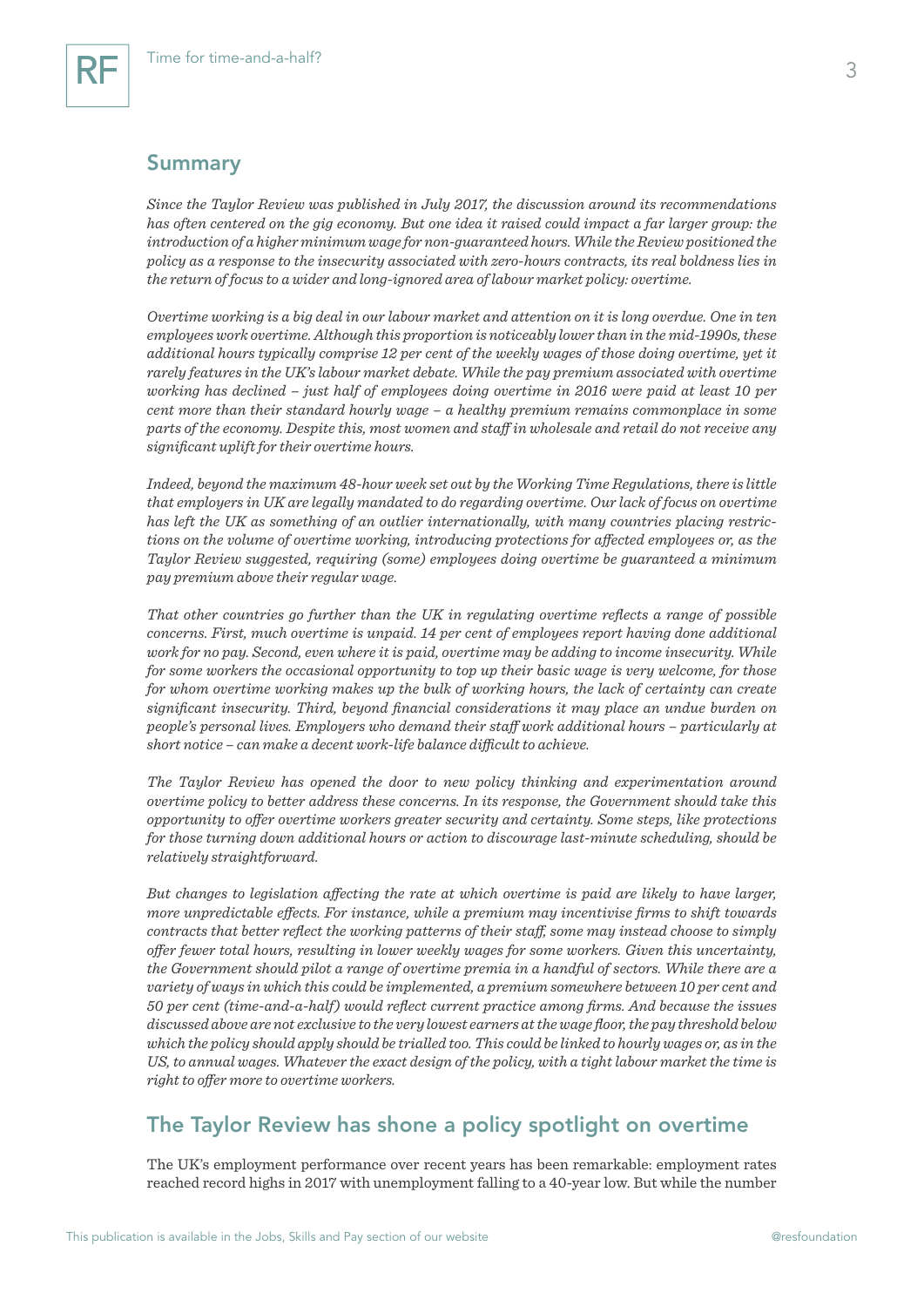## Summary

*Since the Taylor Review was published in July 2017, the discussion around its recommendations has often centered on the gig economy. But one idea it raised could impact a far larger group: the introduction of a higher minimum wage for non-guaranteed hours. While the Review positioned the policy as a response to the insecurity associated with zero-hours contracts, its real boldness lies in the return of focus to a wider and long-ignored area of labour market policy: overtime.*

*Overtime working is a big deal in our labour market and attention on it is long overdue. One in ten employees work overtime. Although this proportion is noticeably lower than in the mid-1990s, these additional hours typically comprise 12 per cent of the weekly wages of those doing overtime, yet it rarely features in the UK's labour market debate. While the pay premium associated with overtime working has declined – just half of employees doing overtime in 2016 were paid at least 10 per cent more than their standard hourly wage – a healthy premium remains commonplace in some parts of the economy. Despite this, most women and staff in wholesale and retail do not receive any significant uplift for their overtime hours.*

*Indeed, beyond the maximum 48-hour week set out by the Working Time Regulations, there is little that employers in UK are legally mandated to do regarding overtime. Our lack of focus on overtime has left the UK as something of an outlier internationally, with many countries placing restrictions on the volume of overtime working, introducing protections for affected employees or, as the Taylor Review suggested, requiring (some) employees doing overtime be guaranteed a minimum pay premium above their regular wage.* 

*That other countries go further than the UK in regulating overtime reflects a range of possible concerns. First, much overtime is unpaid. 14 per cent of employees report having done additional work for no pay. Second, even where it is paid, overtime may be adding to income insecurity. While for some workers the occasional opportunity to top up their basic wage is very welcome, for those for whom overtime working makes up the bulk of working hours, the lack of certainty can create significant insecurity. Third, beyond financial considerations it may place an undue burden on people's personal lives. Employers who demand their staff work additional hours – particularly at short notice – can make a decent work-life balance difficult to achieve.*

*The Taylor Review has opened the door to new policy thinking and experimentation around overtime policy to better address these concerns. In its response, the Government should take this opportunity to offer overtime workers greater security and certainty. Some steps, like protections for those turning down additional hours or action to discourage last-minute scheduling, should be relatively straightforward.*

*But changes to legislation affecting the rate at which overtime is paid are likely to have larger, more unpredictable effects. For instance, while a premium may incentivise firms to shift towards contracts that better reflect the working patterns of their staff, some may instead choose to simply offer fewer total hours, resulting in lower weekly wages for some workers. Given this uncertainty, the Government should pilot a range of overtime premia in a handful of sectors. While there are a variety of ways in which this could be implemented, a premium somewhere between 10 per cent and 50 per cent (time-and-a-half) would reflect current practice among firms. And because the issues discussed above are not exclusive to the very lowest earners at the wage floor, the pay threshold below which the policy should apply should be trialled too. This could be linked to hourly wages or, as in the US, to annual wages. Whatever the exact design of the policy, with a tight labour market the time is right to offer more to overtime workers.*

## The Taylor Review has shone a policy spotlight on overtime

The UK's employment performance over recent years has been remarkable: employment rates reached record highs in 2017 with unemployment falling to a 40-year low. But while the number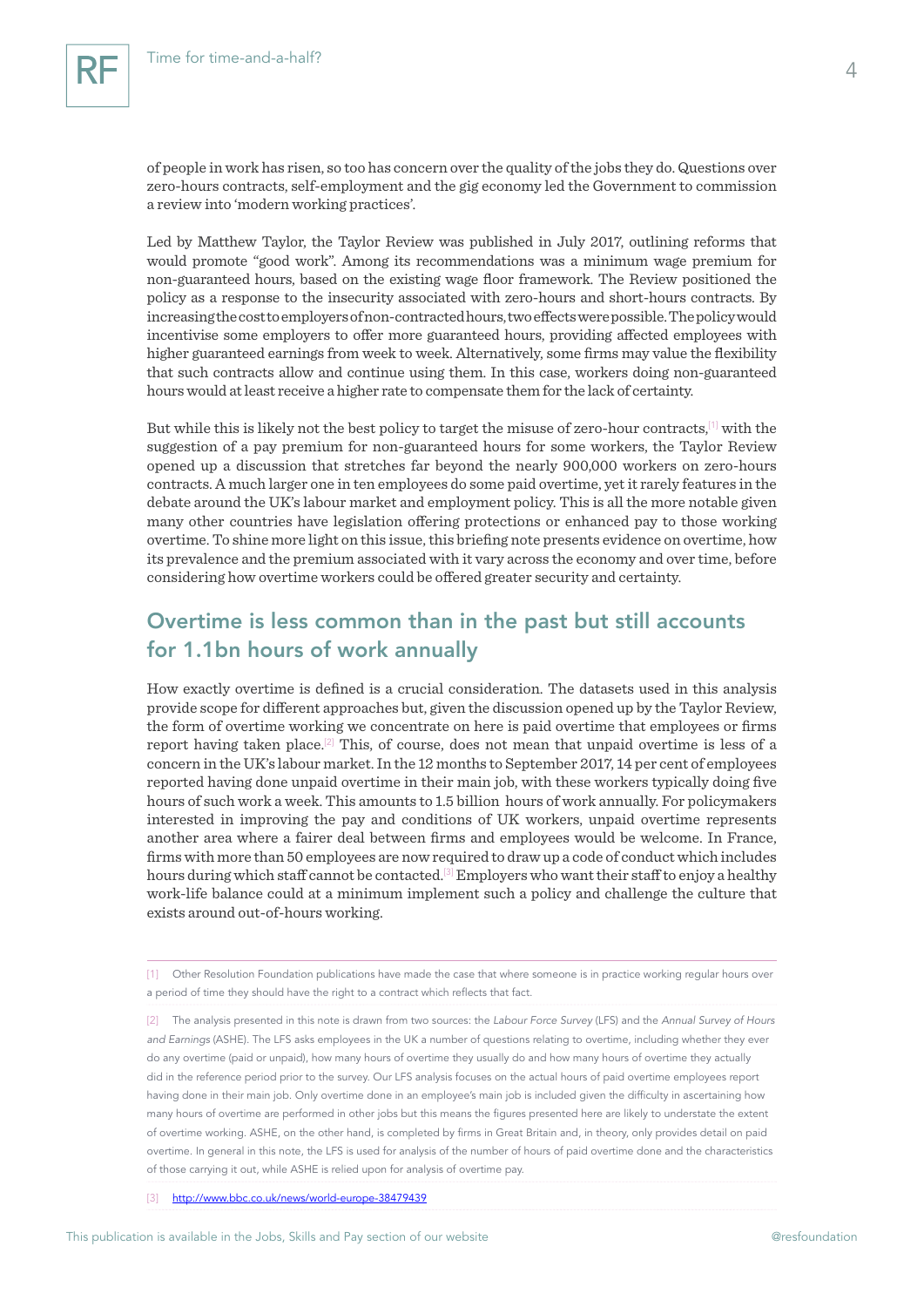of people in work has risen, so too has concern over the quality of the jobs they do. Questions over zero-hours contracts, self-employment and the gig economy led the Government to commission a review into 'modern working practices'.

Led by Matthew Taylor, the Taylor Review was published in July 2017, outlining reforms that would promote "good work". Among its recommendations was a minimum wage premium for non-guaranteed hours, based on the existing wage floor framework. The Review positioned the policy as a response to the insecurity associated with zero-hours and short-hours contracts. By increasing the cost to employers of non-contracted hours, two effects were possible. The policy would incentivise some employers to offer more guaranteed hours, providing affected employees with higher guaranteed earnings from week to week. Alternatively, some firms may value the flexibility that such contracts allow and continue using them. In this case, workers doing non-guaranteed hours would at least receive a higher rate to compensate them for the lack of certainty.

But while this is likely not the best policy to target the misuse of zero-hour contracts,<sup>[1]</sup> with the suggestion of a pay premium for non-guaranteed hours for some workers, the Taylor Review opened up a discussion that stretches far beyond the nearly 900,000 workers on zero-hours contracts. A much larger one in ten employees do some paid overtime, yet it rarely features in the debate around the UK's labour market and employment policy. This is all the more notable given many other countries have legislation offering protections or enhanced pay to those working overtime. To shine more light on this issue, this briefing note presents evidence on overtime, how its prevalence and the premium associated with it vary across the economy and over time, before considering how overtime workers could be offered greater security and certainty.

## Overtime is less common than in the past but still accounts for 1.1bn hours of work annually

How exactly overtime is defined is a crucial consideration. The datasets used in this analysis provide scope for different approaches but, given the discussion opened up by the Taylor Review, the form of overtime working we concentrate on here is paid overtime that employees or firms report having taken place.[2] This, of course, does not mean that unpaid overtime is less of a concern in the UK's labour market. In the 12 months to September 2017, 14 per cent of employees reported having done unpaid overtime in their main job, with these workers typically doing five hours of such work a week. This amounts to 1.5 billion hours of work annually. For policymakers interested in improving the pay and conditions of UK workers, unpaid overtime represents another area where a fairer deal between firms and employees would be welcome. In France, firms with more than 50 employees are now required to draw up a code of conduct which includes hours during which staff cannot be contacted.[3] Employers who want their staff to enjoy a healthy work-life balance could at a minimum implement such a policy and challenge the culture that exists around out-of-hours working.

[1] Other Resolution Foundation publications have made the case that where someone is in practice working regular hours over a period of time they should have the right to a contract which reflects that fact.

[2] The analysis presented in this note is drawn from two sources: the *Labour Force Survey* (LFS) and the *Annual Survey of Hours and Earnings* (ASHE). The LFS asks employees in the UK a number of questions relating to overtime, including whether they ever do any overtime (paid or unpaid), how many hours of overtime they usually do and how many hours of overtime they actually did in the reference period prior to the survey. Our LFS analysis focuses on the actual hours of paid overtime employees report having done in their main job. Only overtime done in an employee's main job is included given the difficulty in ascertaining how many hours of overtime are performed in other jobs but this means the figures presented here are likely to understate the extent of overtime working. ASHE, on the other hand, is completed by firms in Great Britain and, in theory, only provides detail on paid overtime. In general in this note, the LFS is used for analysis of the number of hours of paid overtime done and the characteristics of those carrying it out, while ASHE is relied upon for analysis of overtime pay.

[3] <http://www.bbc.co.uk/news/world-europe-38479439>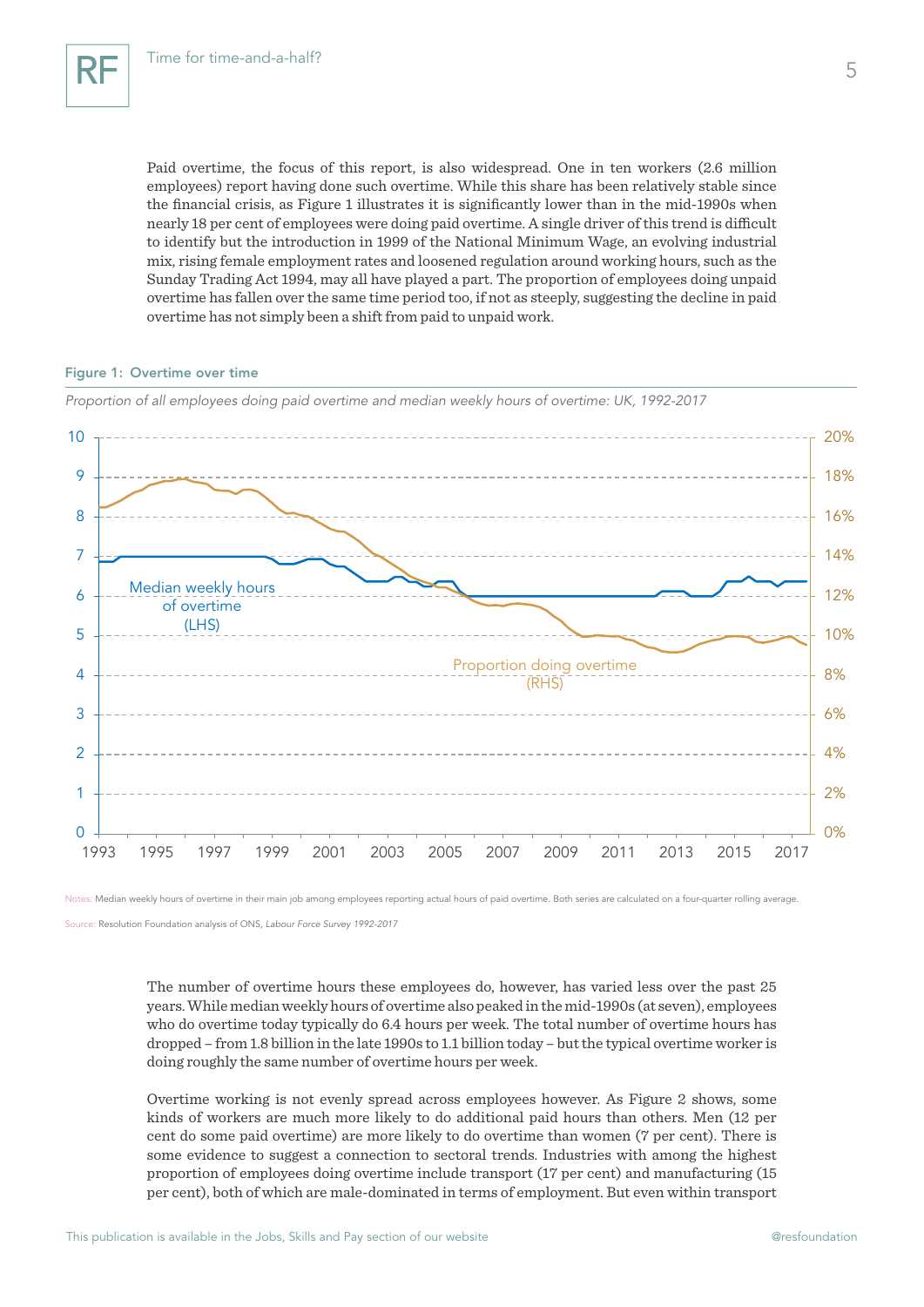Paid overtime, the focus of this report, is also widespread. One in ten workers (2.6 million employees) report having done such overtime. While this share has been relatively stable since the financial crisis, as Figure 1 illustrates it is significantly lower than in the mid-1990s when nearly 18 per cent of employees were doing paid overtime. A single driver of this trend is difficult to identify but the introduction in 1999 of the National Minimum Wage, an evolving industrial mix, rising female employment rates and loosened regulation around working hours, such as the Sunday Trading Act 1994, may all have played a part. The proportion of employees doing unpaid overtime has fallen over the same time period too, if not as steeply, suggesting the decline in paid overtime has not simply been a shift from paid to unpaid work.

#### Figure 1: Overtime over time



*Proportion of all employees doing paid overtime and median weekly hours of overtime: UK, 1992-2017*

Notes: Median weekly hours of overtime in their main job among employees reporting actual hours of paid overtime. Both series are calculated on a four-quarter rolling average.

Source: Resolution Foundation analysis of ONS, *Labour Force Survey 1992-2017*

The number of overtime hours these employees do, however, has varied less over the past 25 years. While median weekly hours of overtime also peaked in the mid-1990s (at seven), employees who do overtime today typically do 6.4 hours per week. The total number of overtime hours has dropped – from 1.8 billion in the late 1990s to 1.1 billion today – but the typical overtime worker is doing roughly the same number of overtime hours per week.

Overtime working is not evenly spread across employees however. As Figure 2 shows, some kinds of workers are much more likely to do additional paid hours than others. Men (12 per cent do some paid overtime) are more likely to do overtime than women (7 per cent). There is some evidence to suggest a connection to sectoral trends. Industries with among the highest proportion of employees doing overtime include transport (17 per cent) and manufacturing (15 per cent), both of which are male-dominated in terms of employment. But even within transport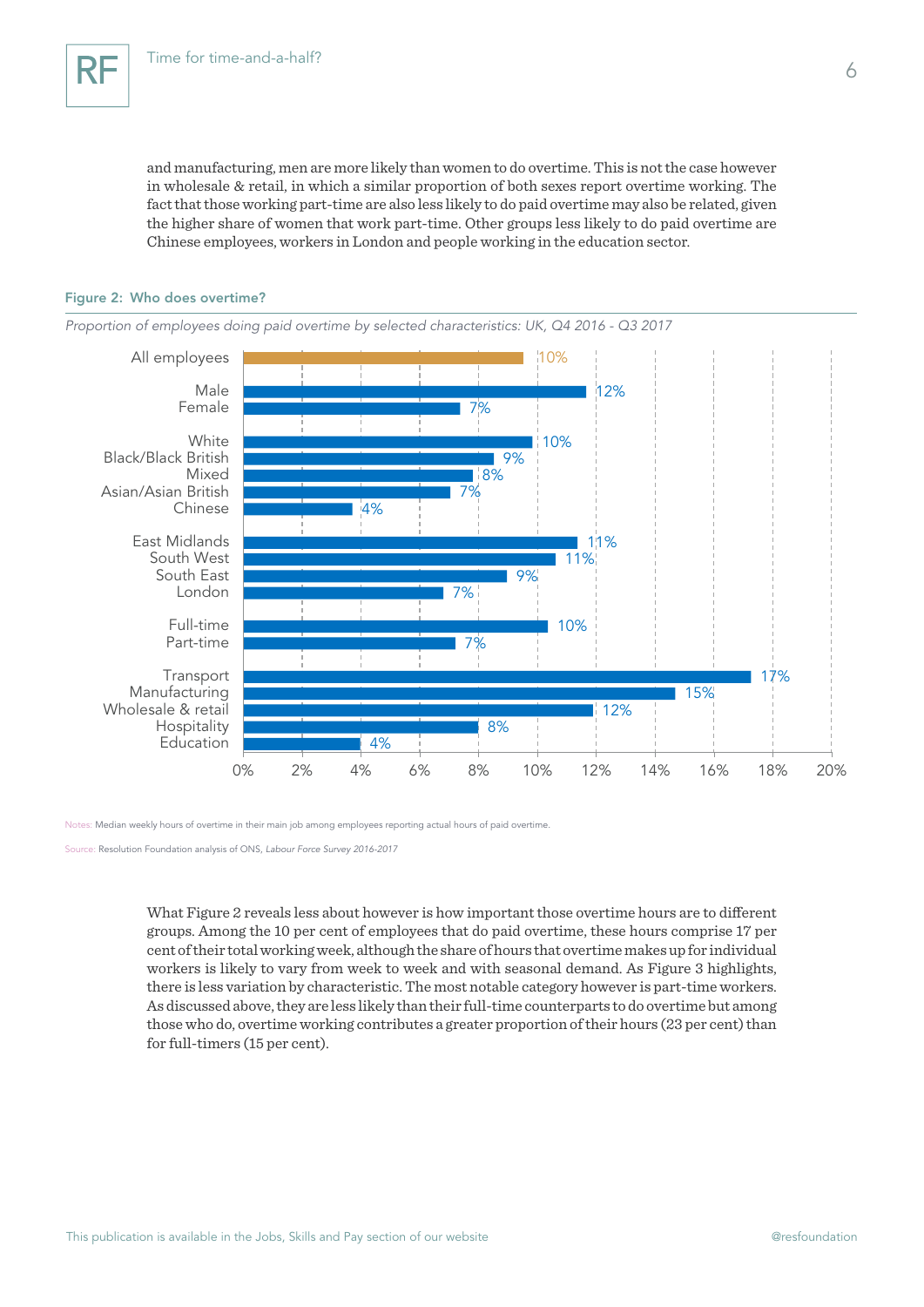and manufacturing, men are more likely than women to do overtime. This is not the case however in wholesale & retail, in which a similar proportion of both sexes report overtime working. The fact that those working part-time are also less likely to do paid overtime may also be related, given the higher share of women that work part-time. Other groups less likely to do paid overtime are Chinese employees, workers in London and people working in the education sector.

### Figure 2: Who does overtime?

*Proportion of employees doing paid overtime by selected characteristics: UK, Q4 2016 - Q3 2017* 4% 8% 12% 15% 17% 7% 10% 7% 9% 11% 11%  $4%$ 7% 8% 9% 10% 7% 12% 10% 0% 2% 4% 6% 8% 10% 12% 14% 16% 18% 20% Education Hospitality Wholesale & retail Manufacturing Transport Part-time Full-time London South East South West East Midlands Chinese Asian/Asian British Mixed Black/Black British **White** Female Male All employees

Notes: Median weekly hours of overtime in their main job among employees reporting actual hours of paid overtime.

Source: Resolution Foundation analysis of ONS, *Labour Force Survey 2016-2017*

What Figure 2 reveals less about however is how important those overtime hours are to different groups. Among the 10 per cent of employees that do paid overtime, these hours comprise 17 per cent of their total working week, although the share of hours that overtime makes up for individual workers is likely to vary from week to week and with seasonal demand. As Figure 3 highlights, there is less variation by characteristic. The most notable category however is part-time workers. As discussed above, they are less likely than their full-time counterparts to do overtime but among those who do, overtime working contributes a greater proportion of their hours (23 per cent) than for full-timers (15 per cent).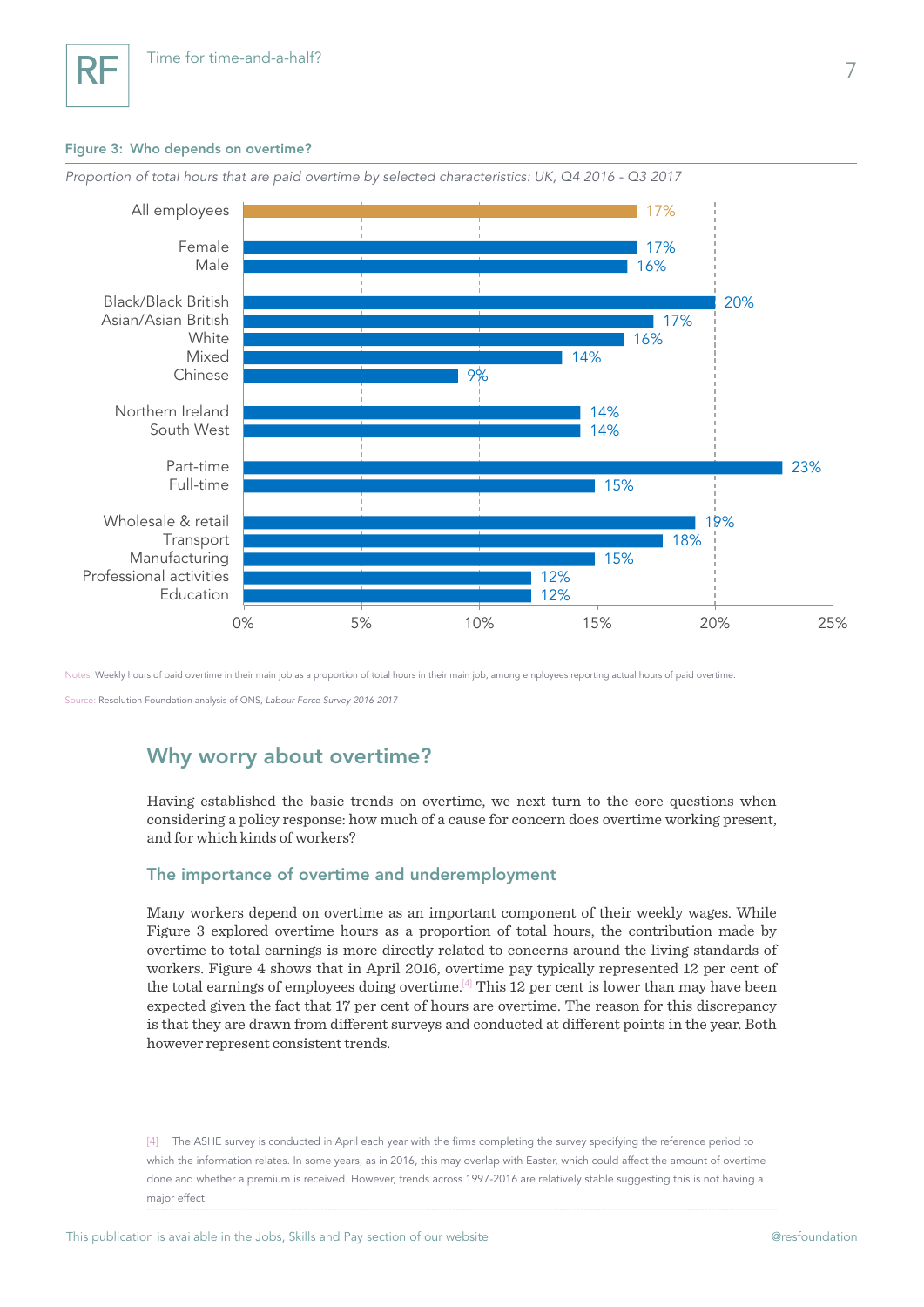## Figure 3: Who depends on overtime?



*Proportion of total hours that are paid overtime by selected characteristics: UK, Q4 2016 - Q3 2017*

Notes: Weekly hours of paid overtime in their main job as a proportion of total hours in their main job, among employees reporting actual hours of paid overtime.

Source: Resolution Foundation analysis of ONS, *Labour Force Survey 2016-2017*

## Why worry about overtime?

Having established the basic trends on overtime, we next turn to the core questions when considering a policy response: how much of a cause for concern does overtime working present, and for which kinds of workers?

## The importance of overtime and underemployment

Many workers depend on overtime as an important component of their weekly wages. While Figure 3 explored overtime hours as a proportion of total hours, the contribution made by overtime to total earnings is more directly related to concerns around the living standards of workers. Figure 4 shows that in April 2016, overtime pay typically represented 12 per cent of the total earnings of employees doing overtime.<sup>[4]</sup> This 12 per cent is lower than may have been expected given the fact that 17 per cent of hours are overtime. The reason for this discrepancy is that they are drawn from different surveys and conducted at different points in the year. Both however represent consistent trends.

[4] The ASHE survey is conducted in April each year with the firms completing the survey specifying the reference period to which the information relates. In some years, as in 2016, this may overlap with Easter, which could affect the amount of overtime done and whether a premium is received. However, trends across 1997-2016 are relatively stable suggesting this is not having a major effect.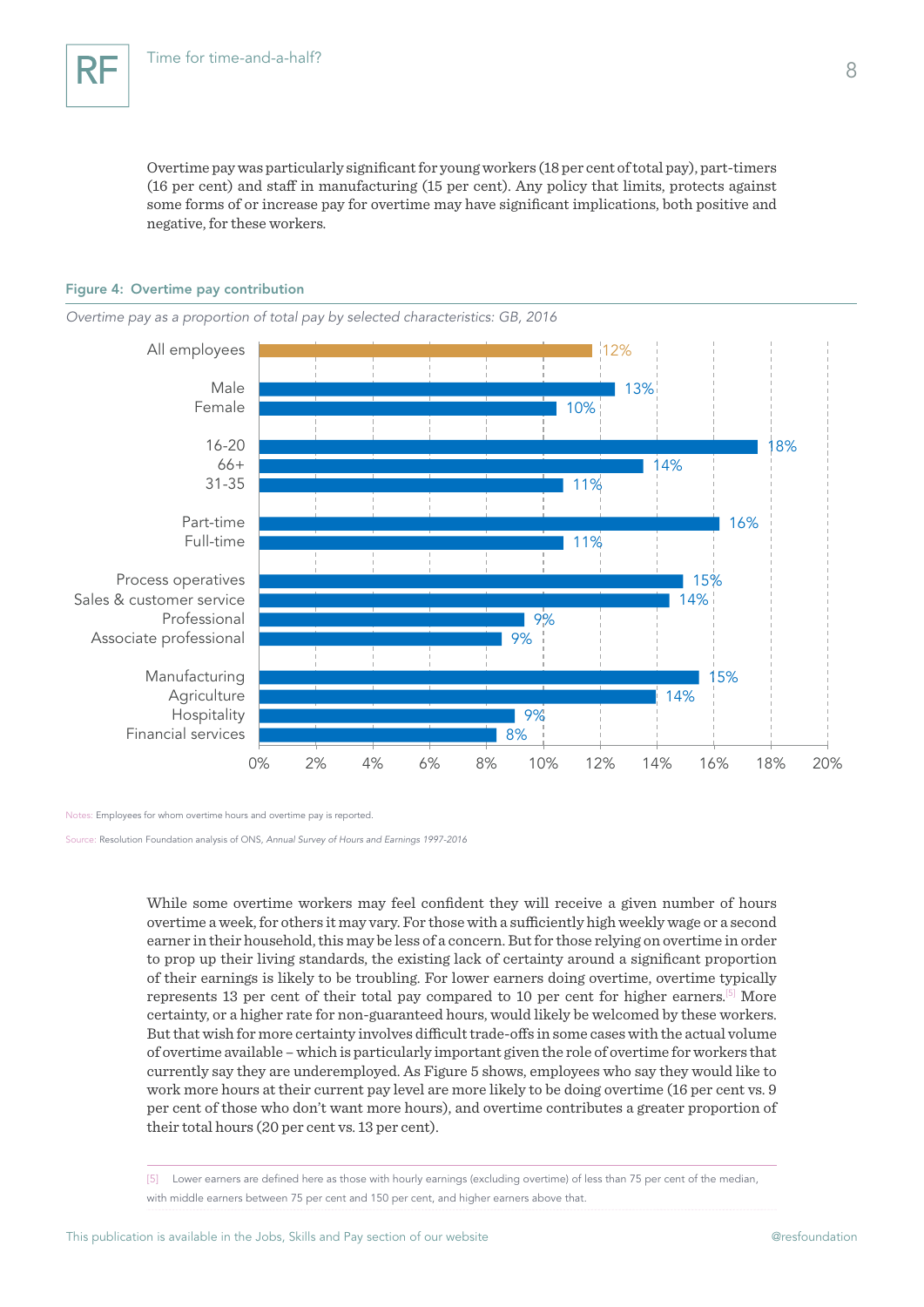Overtime pay was particularly significant for young workers (18 per cent of total pay), part-timers (16 per cent) and staff in manufacturing (15 per cent). Any policy that limits, protects against some forms of or increase pay for overtime may have significant implications, both positive and negative, for these workers.

#### Figure 4: Overtime pay contribution

*Overtime pay as a proportion of total pay by selected characteristics: GB, 2016*



Notes: Employees for whom overtime hours and overtime pay is reported.

Source: Resolution Foundation analysis of ONS, *Annual Survey of Hours and Earnings 1997-2016*

While some overtime workers may feel confident they will receive a given number of hours overtime a week, for others it may vary. For those with a sufficiently high weekly wage or a second earner in their household, this may be less of a concern. But for those relying on overtime in order to prop up their living standards, the existing lack of certainty around a significant proportion of their earnings is likely to be troubling. For lower earners doing overtime, overtime typically represents 13 per cent of their total pay compared to 10 per cent for higher earners.[5] More certainty, or a higher rate for non-guaranteed hours, would likely be welcomed by these workers. But that wish for more certainty involves difficult trade-offs in some cases with the actual volume of overtime available – which is particularly important given the role of overtime for workers that currently say they are underemployed. As Figure 5 shows, employees who say they would like to work more hours at their current pay level are more likely to be doing overtime (16 per cent vs. 9 per cent of those who don't want more hours), and overtime contributes a greater proportion of their total hours (20 per cent vs. 13 per cent).

<sup>[5]</sup> Lower earners are defined here as those with hourly earnings (excluding overtime) of less than 75 per cent of the median, with middle earners between 75 per cent and 150 per cent, and higher earners above that.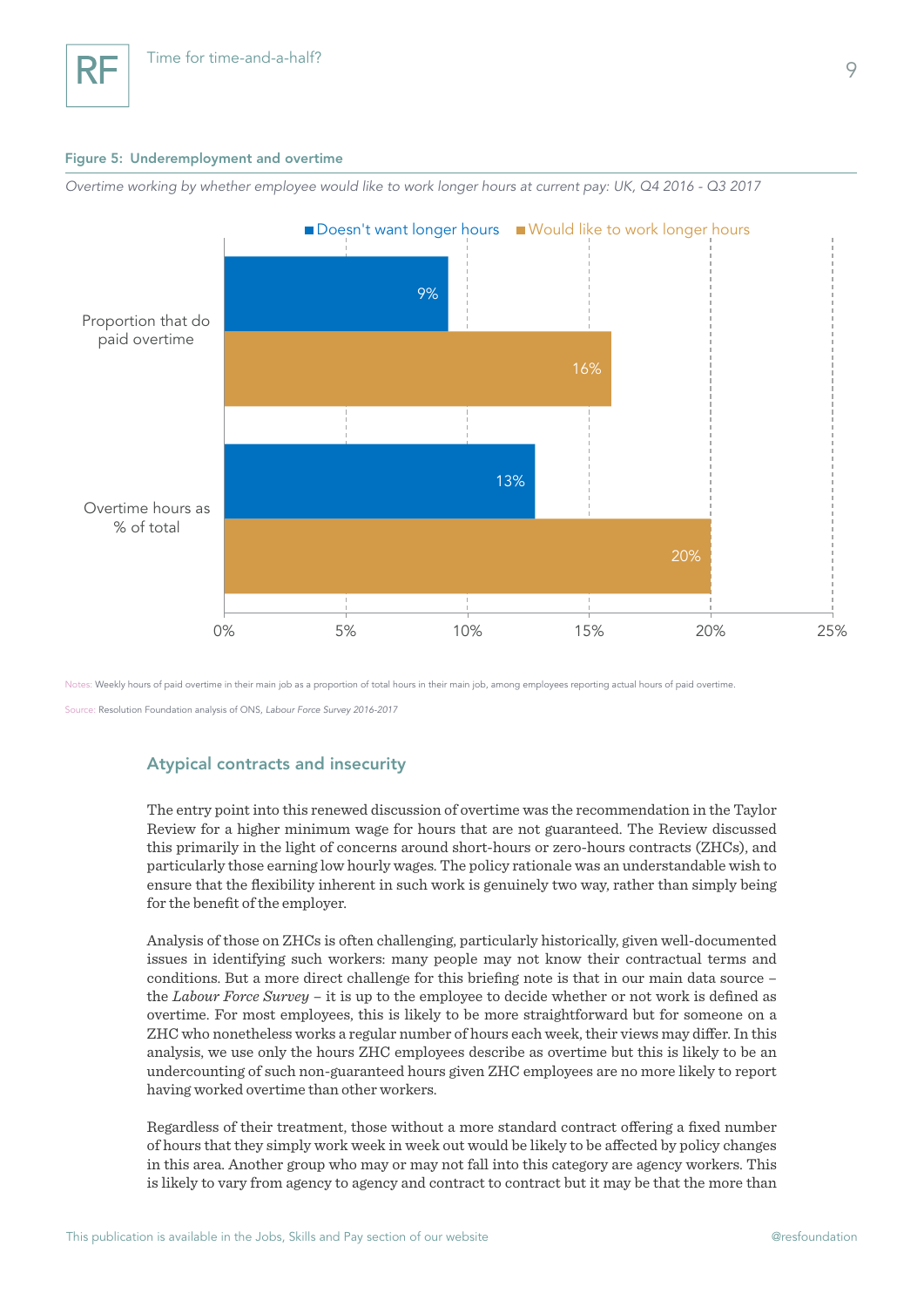#### Figure 5: Underemployment and overtime

*Overtime working by whether employee would like to work longer hours at current pay: UK, Q4 2016 - Q3 2017*



Notes: Weekly hours of paid overtime in their main job as a proportion of total hours in their main job, among employees reporting actual hours of paid overtime.

rce: Resolution Foundation analysis of ONS, *Labour Force Survey 2016-2017* 

## Atypical contracts and insecurity

The entry point into this renewed discussion of overtime was the recommendation in the Taylor Review for a higher minimum wage for hours that are not guaranteed. The Review discussed this primarily in the light of concerns around short-hours or zero-hours contracts (ZHCs), and particularly those earning low hourly wages. The policy rationale was an understandable wish to ensure that the flexibility inherent in such work is genuinely two way, rather than simply being for the benefit of the employer.

Analysis of those on ZHCs is often challenging, particularly historically, given well-documented issues in identifying such workers: many people may not know their contractual terms and conditions. But a more direct challenge for this briefing note is that in our main data source – the *Labour Force Survey* – it is up to the employee to decide whether or not work is defined as overtime. For most employees, this is likely to be more straightforward but for someone on a ZHC who nonetheless works a regular number of hours each week, their views may differ. In this analysis, we use only the hours ZHC employees describe as overtime but this is likely to be an undercounting of such non-guaranteed hours given ZHC employees are no more likely to report having worked overtime than other workers.

Regardless of their treatment, those without a more standard contract offering a fixed number of hours that they simply work week in week out would be likely to be affected by policy changes in this area. Another group who may or may not fall into this category are agency workers. This is likely to vary from agency to agency and contract to contract but it may be that the more than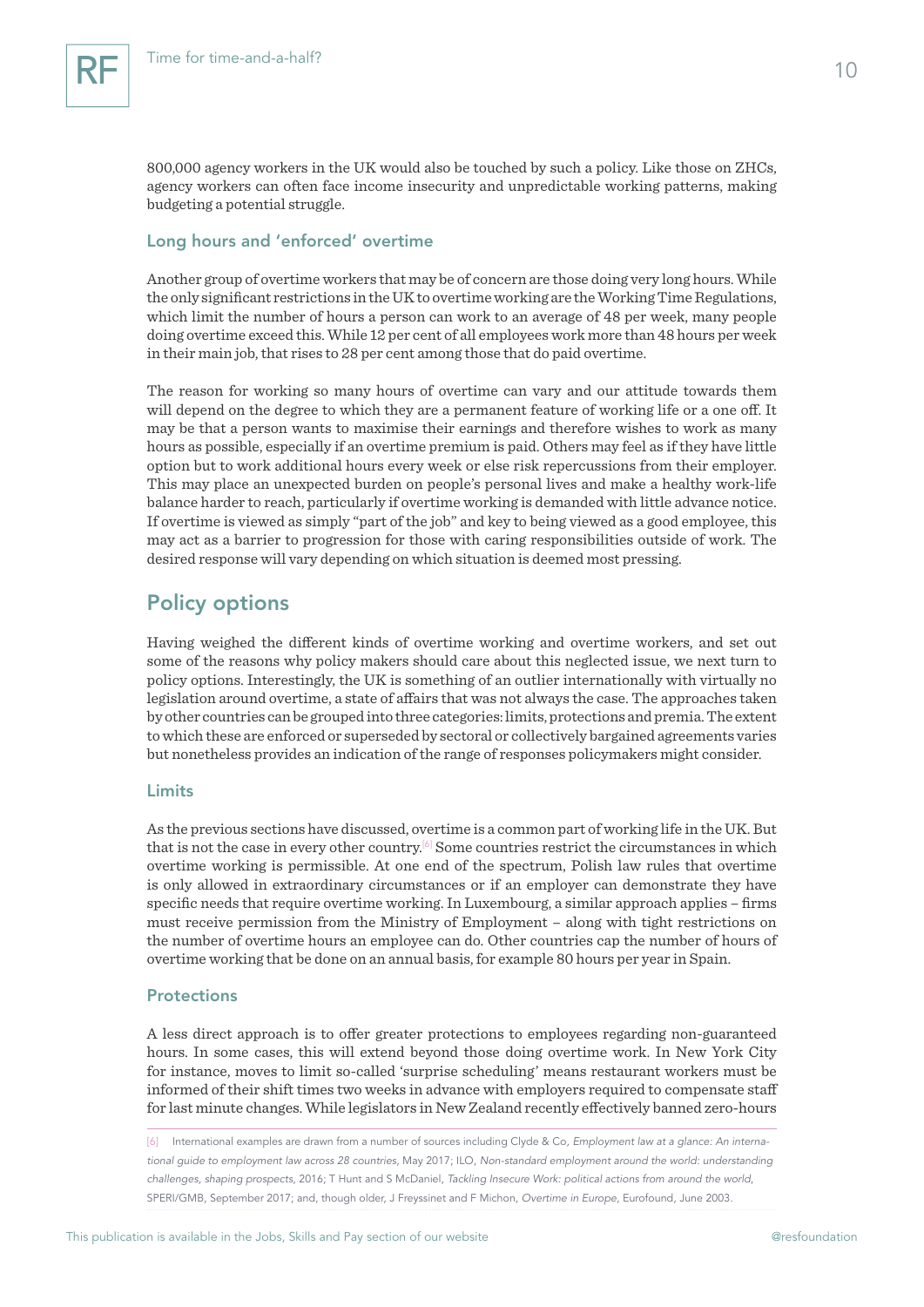800,000 agency workers in the UK would also be touched by such a policy. Like those on ZHCs, agency workers can often face income insecurity and unpredictable working patterns, making budgeting a potential struggle.

## Long hours and 'enforced' overtime

Another group of overtime workers that may be of concern are those doing very long hours. While the only significant restrictions in the UK to overtime working are the Working Time Regulations, which limit the number of hours a person can work to an average of 48 per week, many people doing overtime exceed this. While 12 per cent of all employees work more than 48 hours per week in their main job, that rises to 28 per cent among those that do paid overtime.

The reason for working so many hours of overtime can vary and our attitude towards them will depend on the degree to which they are a permanent feature of working life or a one off. It may be that a person wants to maximise their earnings and therefore wishes to work as many hours as possible, especially if an overtime premium is paid. Others may feel as if they have little option but to work additional hours every week or else risk repercussions from their employer. This may place an unexpected burden on people's personal lives and make a healthy work-life balance harder to reach, particularly if overtime working is demanded with little advance notice. If overtime is viewed as simply "part of the job" and key to being viewed as a good employee, this may act as a barrier to progression for those with caring responsibilities outside of work. The desired response will vary depending on which situation is deemed most pressing.

## Policy options

Having weighed the different kinds of overtime working and overtime workers, and set out some of the reasons why policy makers should care about this neglected issue, we next turn to policy options. Interestingly, the UK is something of an outlier internationally with virtually no legislation around overtime, a state of affairs that was not always the case. The approaches taken by other countries can be grouped into three categories: limits, protections and premia. The extent to which these are enforced or superseded by sectoral or collectively bargained agreements varies but nonetheless provides an indication of the range of responses policymakers might consider.

## Limits

As the previous sections have discussed, overtime is a common part of working life in the UK. But that is not the case in every other country.[6] Some countries restrict the circumstances in which overtime working is permissible. At one end of the spectrum, Polish law rules that overtime is only allowed in extraordinary circumstances or if an employer can demonstrate they have specific needs that require overtime working. In Luxembourg, a similar approach applies – firms must receive permission from the Ministry of Employment – along with tight restrictions on the number of overtime hours an employee can do. Other countries cap the number of hours of overtime working that be done on an annual basis, for example 80 hours per year in Spain.

## **Protections**

A less direct approach is to offer greater protections to employees regarding non-guaranteed hours. In some cases, this will extend beyond those doing overtime work. In New York City for instance, moves to limit so-called 'surprise scheduling' means restaurant workers must be informed of their shift times two weeks in advance with employers required to compensate staff for last minute changes. While legislators in New Zealand recently effectively banned zero-hours

[6] International examples are drawn from a number of sources including Clyde & Co*, Employment law at a glance: An international guide to employment law across 28 countries*, May 2017; ILO, *Non-standard employment around the world: understanding challenges, shaping prospects*, 2016; T Hunt and S McDaniel, *Tackling Insecure Work: political actions from around the world*, SPERI/GMB, September 2017; and, though older, J Freyssinet and F Michon, *Overtime in Europe*, Eurofound, June 2003.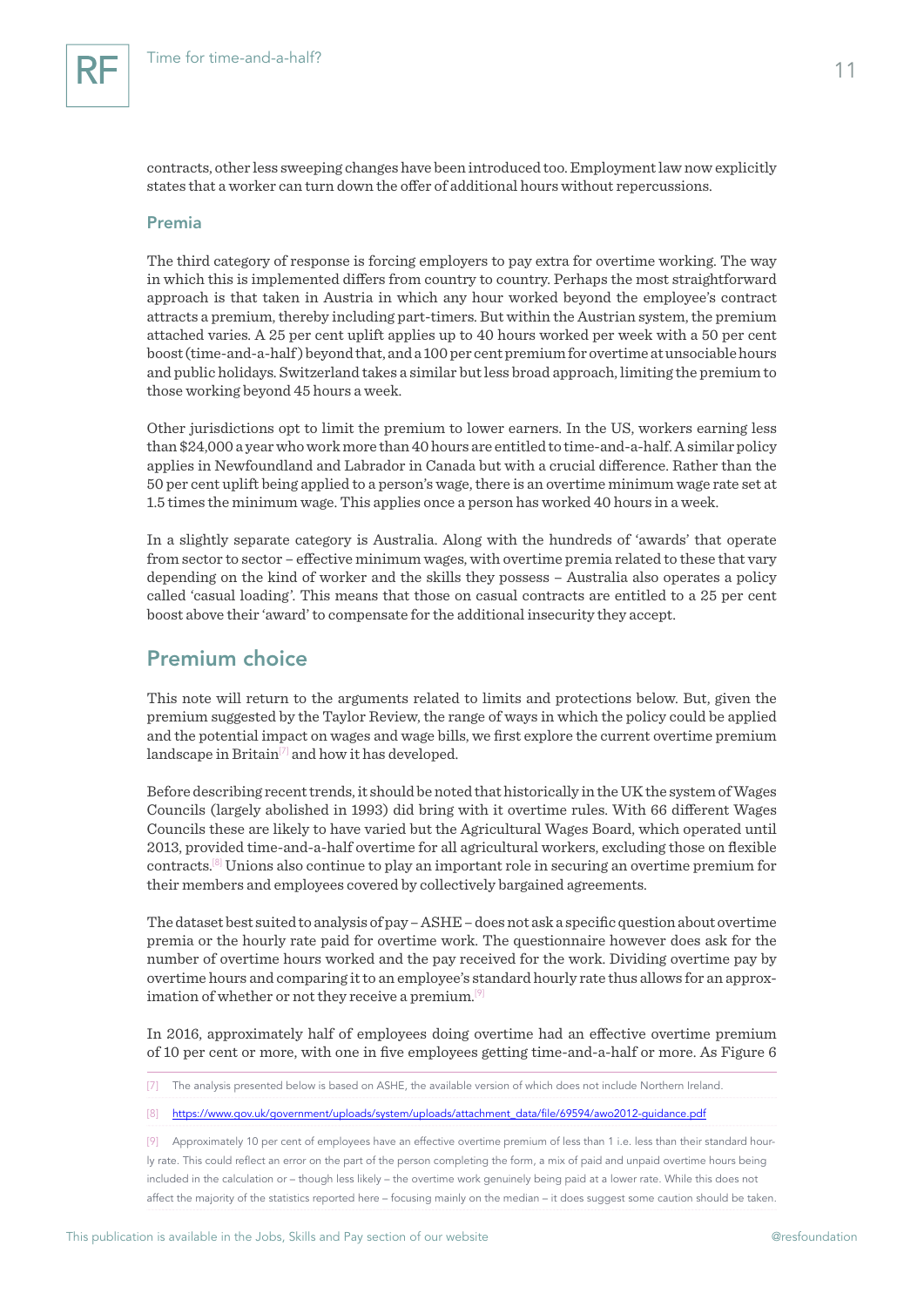contracts, other less sweeping changes have been introduced too. Employment law now explicitly states that a worker can turn down the offer of additional hours without repercussions.

#### Premia

The third category of response is forcing employers to pay extra for overtime working. The way in which this is implemented differs from country to country. Perhaps the most straightforward approach is that taken in Austria in which any hour worked beyond the employee's contract attracts a premium, thereby including part-timers. But within the Austrian system, the premium attached varies. A 25 per cent uplift applies up to 40 hours worked per week with a 50 per cent boost (time-and-a-half ) beyond that, and a 100 per cent premium for overtime at unsociable hours and public holidays. Switzerland takes a similar but less broad approach, limiting the premium to those working beyond 45 hours a week.

Other jurisdictions opt to limit the premium to lower earners. In the US, workers earning less than \$24,000 a year who work more than 40 hours are entitled to time-and-a-half. A similar policy applies in Newfoundland and Labrador in Canada but with a crucial difference. Rather than the 50 per cent uplift being applied to a person's wage, there is an overtime minimum wage rate set at 1.5 times the minimum wage. This applies once a person has worked 40 hours in a week.

In a slightly separate category is Australia. Along with the hundreds of 'awards' that operate from sector to sector – effective minimum wages, with overtime premia related to these that vary depending on the kind of worker and the skills they possess – Australia also operates a policy called 'casual loading'. This means that those on casual contracts are entitled to a 25 per cent boost above their 'award' to compensate for the additional insecurity they accept.

## Premium choice

This note will return to the arguments related to limits and protections below. But, given the premium suggested by the Taylor Review, the range of ways in which the policy could be applied and the potential impact on wages and wage bills, we first explore the current overtime premium landscape in Britain<sup>[7]</sup> and how it has developed.

Before describing recent trends, it should be noted that historically in the UK the system of Wages Councils (largely abolished in 1993) did bring with it overtime rules. With 66 different Wages Councils these are likely to have varied but the Agricultural Wages Board, which operated until 2013, provided time-and-a-half overtime for all agricultural workers, excluding those on flexible contracts.[8] Unions also continue to play an important role in securing an overtime premium for their members and employees covered by collectively bargained agreements.

The dataset best suited to analysis of pay – ASHE – does not ask a specific question about overtime premia or the hourly rate paid for overtime work. The questionnaire however does ask for the number of overtime hours worked and the pay received for the work. Dividing overtime pay by overtime hours and comparing it to an employee's standard hourly rate thus allows for an approximation of whether or not they receive a premium.[9]

In 2016, approximately half of employees doing overtime had an effective overtime premium of 10 per cent or more, with one in five employees getting time-and-a-half or more. As Figure 6

<sup>[7]</sup> The analysis presented below is based on ASHE, the available version of which does not include Northern Ireland.

<sup>[8]</sup> [https://www.gov.uk/government/uploads/system/uploads/attachment\\_data/file/69594/awo2012-guidance.pdf](https://www.gov.uk/government/uploads/system/uploads/attachment_data/file/69594/awo2012-guidance.pdf)

<sup>[9]</sup> Approximately 10 per cent of employees have an effective overtime premium of less than 1 i.e. less than their standard hourly rate. This could reflect an error on the part of the person completing the form, a mix of paid and unpaid overtime hours being included in the calculation or – though less likely – the overtime work genuinely being paid at a lower rate. While this does not affect the majority of the statistics reported here – focusing mainly on the median – it does suggest some caution should be taken.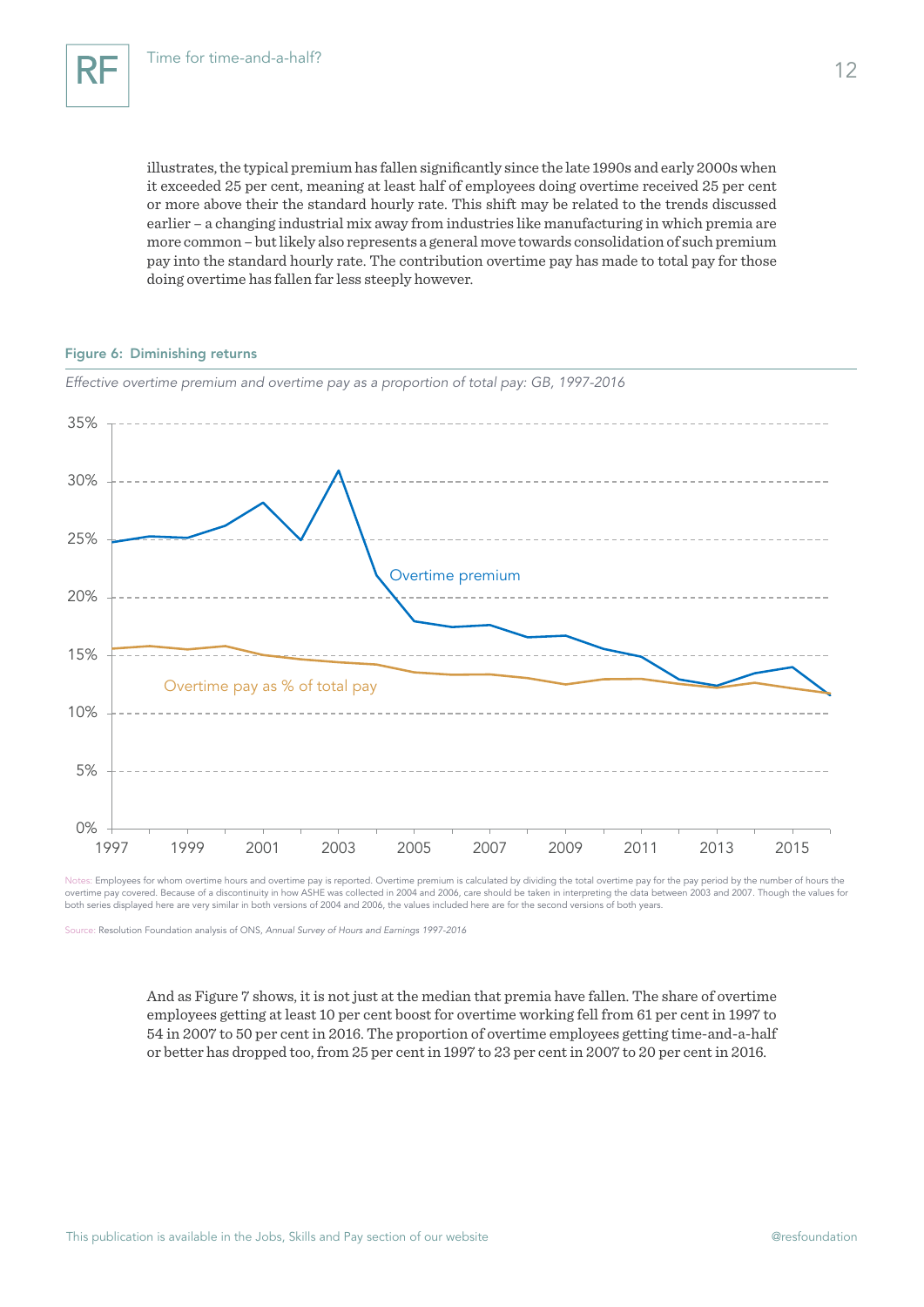illustrates, the typical premium has fallen significantly since the late 1990s and early 2000s when it exceeded 25 per cent, meaning at least half of employees doing overtime received 25 per cent or more above their the standard hourly rate. This shift may be related to the trends discussed earlier – a changing industrial mix away from industries like manufacturing in which premia are more common – but likely also represents a general move towards consolidation of such premium pay into the standard hourly rate. The contribution overtime pay has made to total pay for those doing overtime has fallen far less steeply however.

#### Figure 6: Diminishing returns



*Effective overtime premium and overtime pay as a proportion of total pay: GB, 1997-2016*

Notes: Employees for whom overtime hours and overtime pay is reported. Overtime premium is calculated by dividing the total overtime pay for the pay period by the number of hours the overtime pay covered. Because of a discontinuity in how ASHE was collected in 2004 and 2006, care should be taken in interpreting the data between 2003 and 2007. Though the values for both series displayed here are very similar in both versions of 2004 and 2006, the values included here are for the second versions of both years.

Source: Resolution Foundation analysis of ONS, *Annual Survey of Hours and Earnings 1997-2016*

And as Figure 7 shows, it is not just at the median that premia have fallen. The share of overtime employees getting at least 10 per cent boost for overtime working fell from 61 per cent in 1997 to 54 in 2007 to 50 per cent in 2016. The proportion of overtime employees getting time-and-a-half or better has dropped too, from 25 per cent in 1997 to 23 per cent in 2007 to 20 per cent in 2016.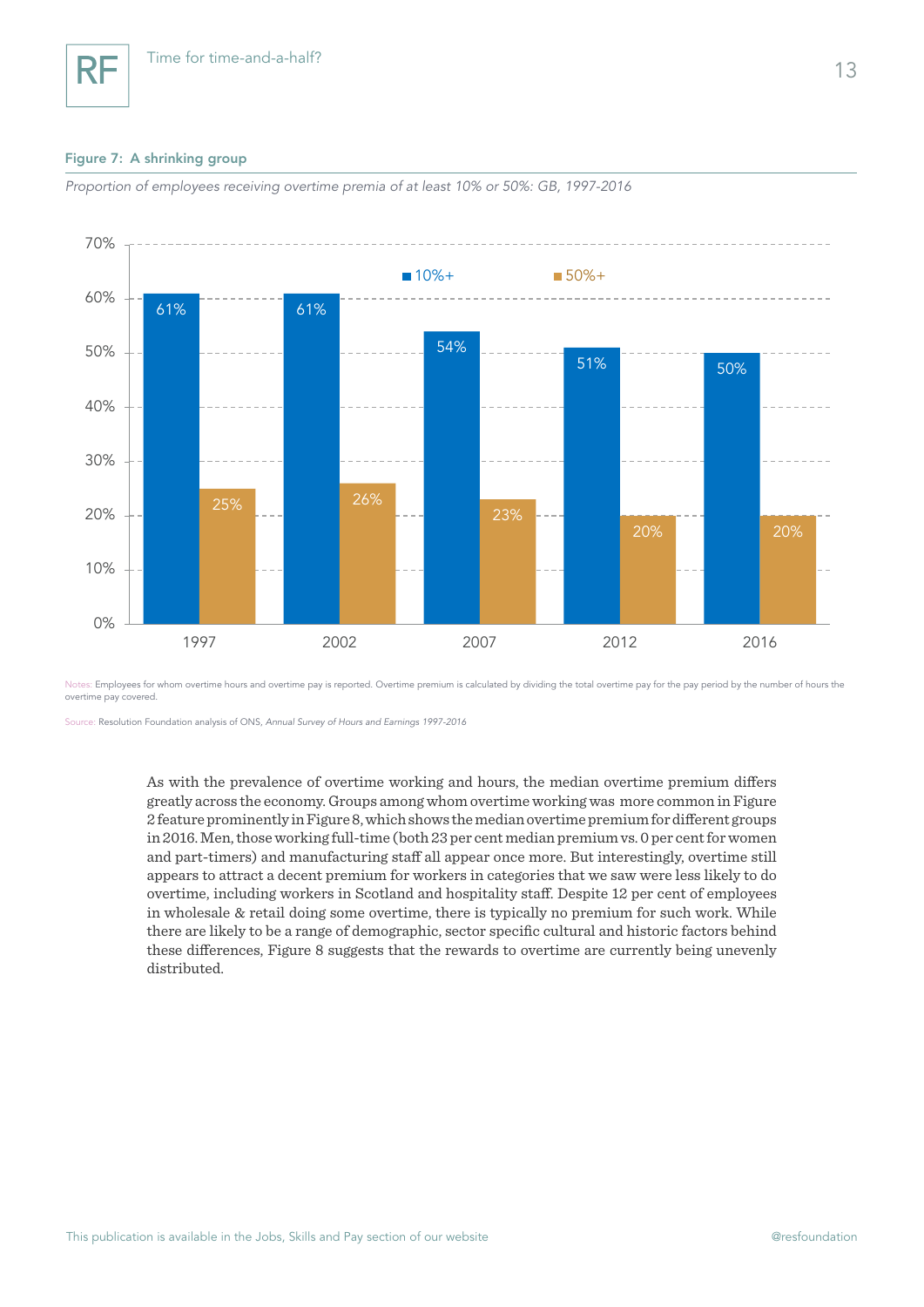#### Figure 7: A shrinking group

RF



*Proportion of employees receiving overtime premia of at least 10% or 50%: GB, 1997-2016*

Notes: Employees for whom overtime hours and overtime pay is reported. Overtime premium is calculated by dividing the total overtime pay for the pay period by the number of hours the overtime pay covered.

Source: Resolution Foundation analysis of ONS, *Annual Survey of Hours and Earnings 1997-2016*

As with the prevalence of overtime working and hours, the median overtime premium differs greatly across the economy. Groups among whom overtime working was more common in Figure 2 feature prominently in Figure 8, which shows the median overtime premium for different groups in 2016. Men, those working full-time (both 23 per cent median premium vs. 0 per cent for women and part-timers) and manufacturing staff all appear once more. But interestingly, overtime still appears to attract a decent premium for workers in categories that we saw were less likely to do overtime, including workers in Scotland and hospitality staff. Despite 12 per cent of employees in wholesale & retail doing some overtime, there is typically no premium for such work. While there are likely to be a range of demographic, sector specific cultural and historic factors behind these differences, Figure 8 suggests that the rewards to overtime are currently being unevenly distributed.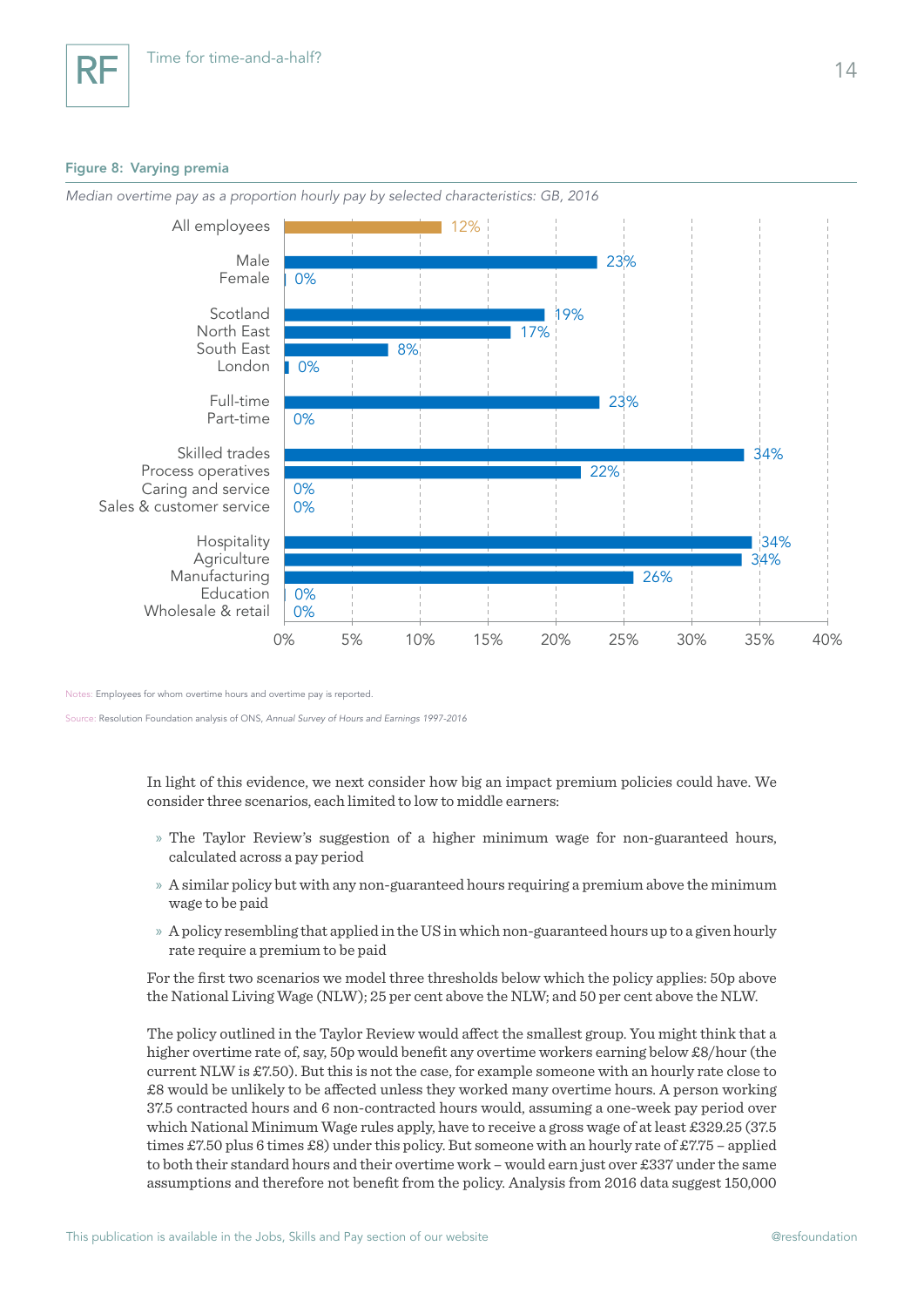### Figure 8: Varying premia



*Median overtime pay as a proportion hourly pay by selected characteristics: GB, 2016*

Notes: Employees for whom overtime hours and overtime pay is reported.

Source: Resolution Foundation analysis of ONS, *Annual Survey of Hours and Earnings 1997-2016*

In light of this evidence, we next consider how big an impact premium policies could have. We consider three scenarios, each limited to low to middle earners:

- » The Taylor Review's suggestion of a higher minimum wage for non-guaranteed hours, calculated across a pay period
- » A similar policy but with any non-guaranteed hours requiring a premium above the minimum wage to be paid
- » A policy resembling that applied in the US in which non-guaranteed hours up to a given hourly rate require a premium to be paid

For the first two scenarios we model three thresholds below which the policy applies: 50p above the National Living Wage (NLW); 25 per cent above the NLW; and 50 per cent above the NLW.

The policy outlined in the Taylor Review would affect the smallest group. You might think that a higher overtime rate of, say, 50p would benefit any overtime workers earning below £8/hour (the current NLW is £7.50). But this is not the case, for example someone with an hourly rate close to £8 would be unlikely to be affected unless they worked many overtime hours. A person working 37.5 contracted hours and 6 non-contracted hours would, assuming a one-week pay period over which National Minimum Wage rules apply, have to receive a gross wage of at least £329.25 (37.5 times £7.50 plus 6 times £8) under this policy. But someone with an hourly rate of £7.75 – applied to both their standard hours and their overtime work – would earn just over £337 under the same assumptions and therefore not benefit from the policy. Analysis from 2016 data suggest 150,000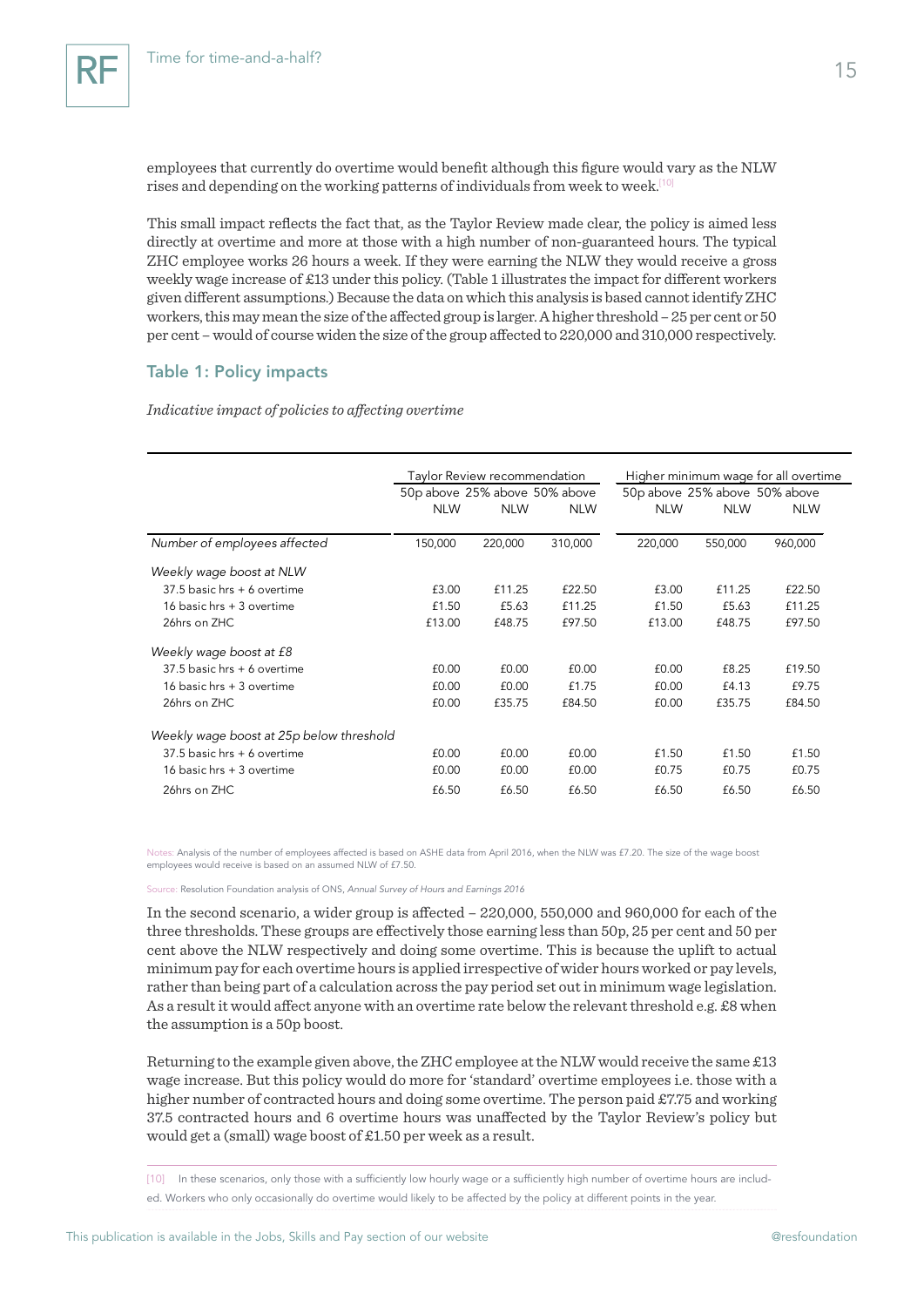employees that currently do overtime would benefit although this figure would vary as the NLW rises and depending on the working patterns of individuals from week to week.<sup>[10]</sup>

This small impact reflects the fact that, as the Taylor Review made clear, the policy is aimed less directly at overtime and more at those with a high number of non-guaranteed hours. The typical ZHC employee works 26 hours a week. If they were earning the NLW they would receive a gross weekly wage increase of £13 under this policy. (Table 1 illustrates the impact for different workers given different assumptions.) Because the data on which this analysis is based cannot identify ZHC workers, this may mean the size of the affected group is larger. A higher threshold – 25 per cent or 50 per cent – would of course widen the size of the group affected to 220,000 and 310,000 respectively.

## Table 1: Policy impacts

#### *Indicative impact of policies to affecting overtime*

|                                          | Taylor Review recommendation  |            |            | Higher minimum wage for all overtime |            |            |
|------------------------------------------|-------------------------------|------------|------------|--------------------------------------|------------|------------|
|                                          | 50p above 25% above 50% above |            |            | 50p above 25% above 50% above        |            |            |
|                                          | <b>NLW</b>                    | <b>NLW</b> | <b>NLW</b> | <b>NLW</b>                           | <b>NLW</b> | <b>NLW</b> |
| Number of employees affected             | 150,000                       | 220,000    | 310,000    | 220,000                              | 550,000    | 960,000    |
| Weekly wage boost at NLW                 |                               |            |            |                                      |            |            |
| 37.5 basic hrs + 6 overtime              | £3.00                         | £11.25     | £22.50     | £3.00                                | £11.25     | £22.50     |
| 16 basic hrs + 3 overtime                | £1.50                         | £5.63      | £11.25     | £1.50                                | £5.63      | £11.25     |
| 26hrs on ZHC                             | £13.00                        | £48.75     | £97.50     | £13.00                               | £48.75     | £97.50     |
| Weekly wage boost at £8                  |                               |            |            |                                      |            |            |
| $37.5$ basic hrs + 6 overtime            | £0.00                         | £0.00      | £0.00      | £0.00                                | £8.25      | £19.50     |
| 16 basic hrs + 3 overtime                | £0.00                         | £0.00      | £1.75      | £0.00                                | £4.13      | £9.75      |
| 26hrs on ZHC                             | £0.00                         | £35.75     | £84.50     | f0.00                                | £35.75     | £84.50     |
| Weekly wage boost at 25p below threshold |                               |            |            |                                      |            |            |
| $37.5$ basic hrs $+6$ overtime           | £0.00                         | f0.00      | f0.00      | £1.50                                | £1.50      | £1.50      |
| 16 basic hrs + 3 overtime                | £0.00                         | £0.00      | £0.00      | £0.75                                | £0.75      | £0.75      |
| 26hrs on ZHC                             | £6.50                         | £6.50      | £6.50      | £6.50                                | £6.50      | £6.50      |

Notes: Analysis of the number of employees affected is based on ASHE data from April 2016, when the NLW was £7.20. The size of the wage boost employees would receive is based on an assumed NLW of £7.50.

Source: Resolution Foundation analysis of ONS, *Annual Survey of Hours and Earnings 2016*

In the second scenario, a wider group is affected – 220,000, 550,000 and 960,000 for each of the three thresholds. These groups are effectively those earning less than 50p, 25 per cent and 50 per cent above the NLW respectively and doing some overtime. This is because the uplift to actual minimum pay for each overtime hours is applied irrespective of wider hours worked or pay levels, rather than being part of a calculation across the pay period set out in minimum wage legislation. As a result it would affect anyone with an overtime rate below the relevant threshold e.g. £8 when the assumption is a 50p boost.

Returning to the example given above, the ZHC employee at the NLW would receive the same  $\pounds 13$ wage increase. But this policy would do more for 'standard' overtime employees i.e. those with a higher number of contracted hours and doing some overtime. The person paid £7.75 and working 37.5 contracted hours and 6 overtime hours was unaffected by the Taylor Review's policy but would get a (small) wage boost of £1.50 per week as a result.

[10] In these scenarios, only those with a sufficiently low hourly wage or a sufficiently high number of overtime hours are included. Workers who only occasionally do overtime would likely to be affected by the policy at different points in the year.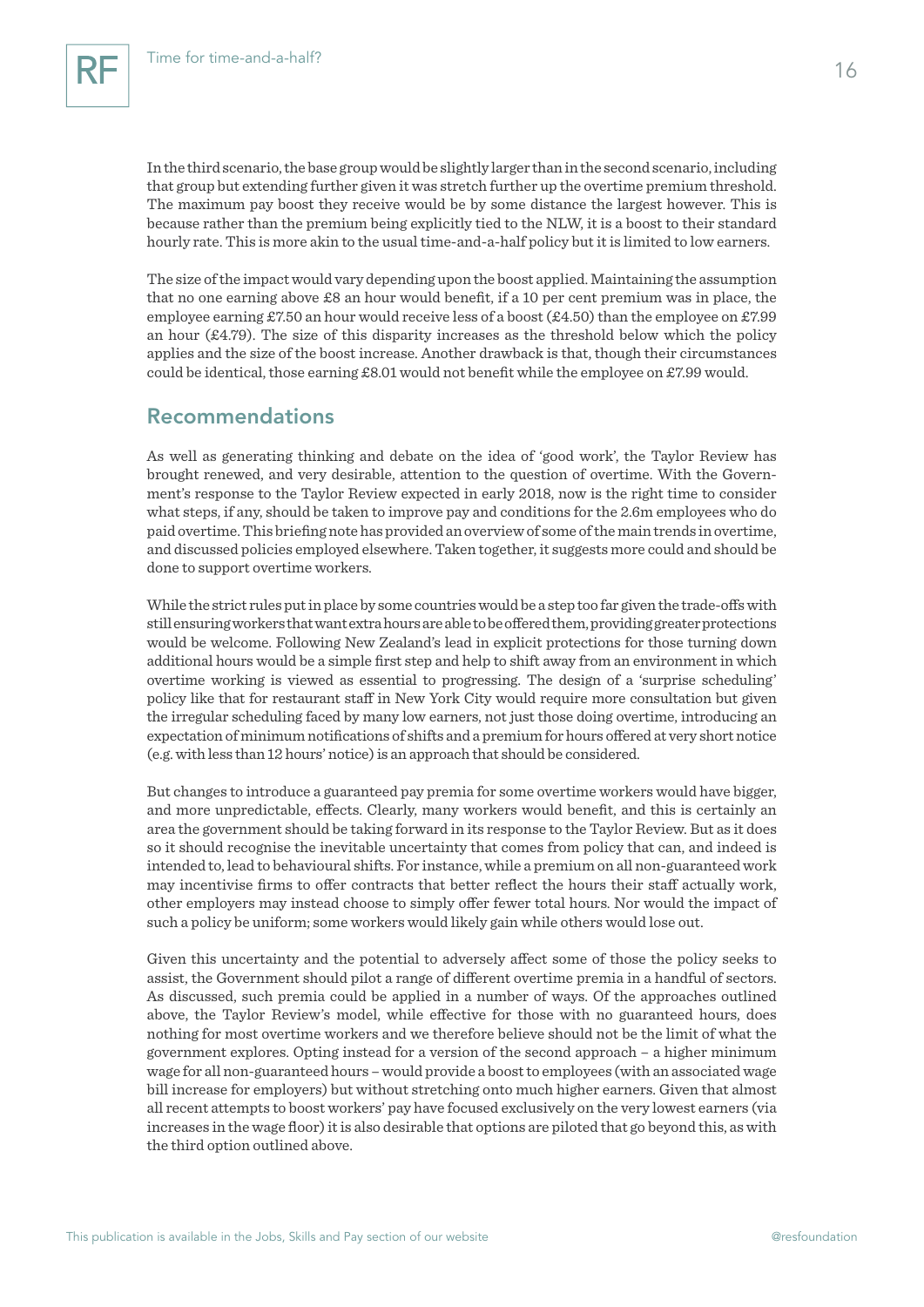In the third scenario, the base group would be slightly larger than in the second scenario, including that group but extending further given it was stretch further up the overtime premium threshold. The maximum pay boost they receive would be by some distance the largest however. This is because rather than the premium being explicitly tied to the NLW, it is a boost to their standard hourly rate. This is more akin to the usual time-and-a-half policy but it is limited to low earners.

The size of the impact would vary depending upon the boost applied. Maintaining the assumption that no one earning above £8 an hour would benefit, if a 10 per cent premium was in place, the employee earning £7.50 an hour would receive less of a boost (£4.50) than the employee on £7.99 an hour  $(\text{\pounds}4.79)$ . The size of this disparity increases as the threshold below which the policy applies and the size of the boost increase. Another drawback is that, though their circumstances could be identical, those earning £8.01 would not benefit while the employee on £7.99 would.

## Recommendations

As well as generating thinking and debate on the idea of 'good work', the Taylor Review has brought renewed, and very desirable, attention to the question of overtime. With the Government's response to the Taylor Review expected in early 2018, now is the right time to consider what steps, if any, should be taken to improve pay and conditions for the 2.6m employees who do paid overtime. This briefing note has provided an overview of some of the main trends in overtime, and discussed policies employed elsewhere. Taken together, it suggests more could and should be done to support overtime workers.

While the strict rules put in place by some countries would be a step too far given the trade-offs with still ensuring workers that want extra hours are able to be offered them, providing greater protections would be welcome. Following New Zealand's lead in explicit protections for those turning down additional hours would be a simple first step and help to shift away from an environment in which overtime working is viewed as essential to progressing. The design of a 'surprise scheduling' policy like that for restaurant staff in New York City would require more consultation but given the irregular scheduling faced by many low earners, not just those doing overtime, introducing an expectation of minimum notifications of shifts and a premium for hours offered at very short notice (e.g. with less than 12 hours' notice) is an approach that should be considered.

But changes to introduce a guaranteed pay premia for some overtime workers would have bigger, and more unpredictable, effects. Clearly, many workers would benefit, and this is certainly an area the government should be taking forward in its response to the Taylor Review. But as it does so it should recognise the inevitable uncertainty that comes from policy that can, and indeed is intended to, lead to behavioural shifts. For instance, while a premium on all non-guaranteed work may incentivise firms to offer contracts that better reflect the hours their staff actually work, other employers may instead choose to simply offer fewer total hours. Nor would the impact of such a policy be uniform; some workers would likely gain while others would lose out.

Given this uncertainty and the potential to adversely affect some of those the policy seeks to assist, the Government should pilot a range of different overtime premia in a handful of sectors. As discussed, such premia could be applied in a number of ways. Of the approaches outlined above, the Taylor Review's model, while effective for those with no guaranteed hours, does nothing for most overtime workers and we therefore believe should not be the limit of what the government explores. Opting instead for a version of the second approach – a higher minimum wage for all non-guaranteed hours – would provide a boost to employees (with an associated wage bill increase for employers) but without stretching onto much higher earners. Given that almost all recent attempts to boost workers' pay have focused exclusively on the very lowest earners (via increases in the wage floor) it is also desirable that options are piloted that go beyond this, as with the third option outlined above.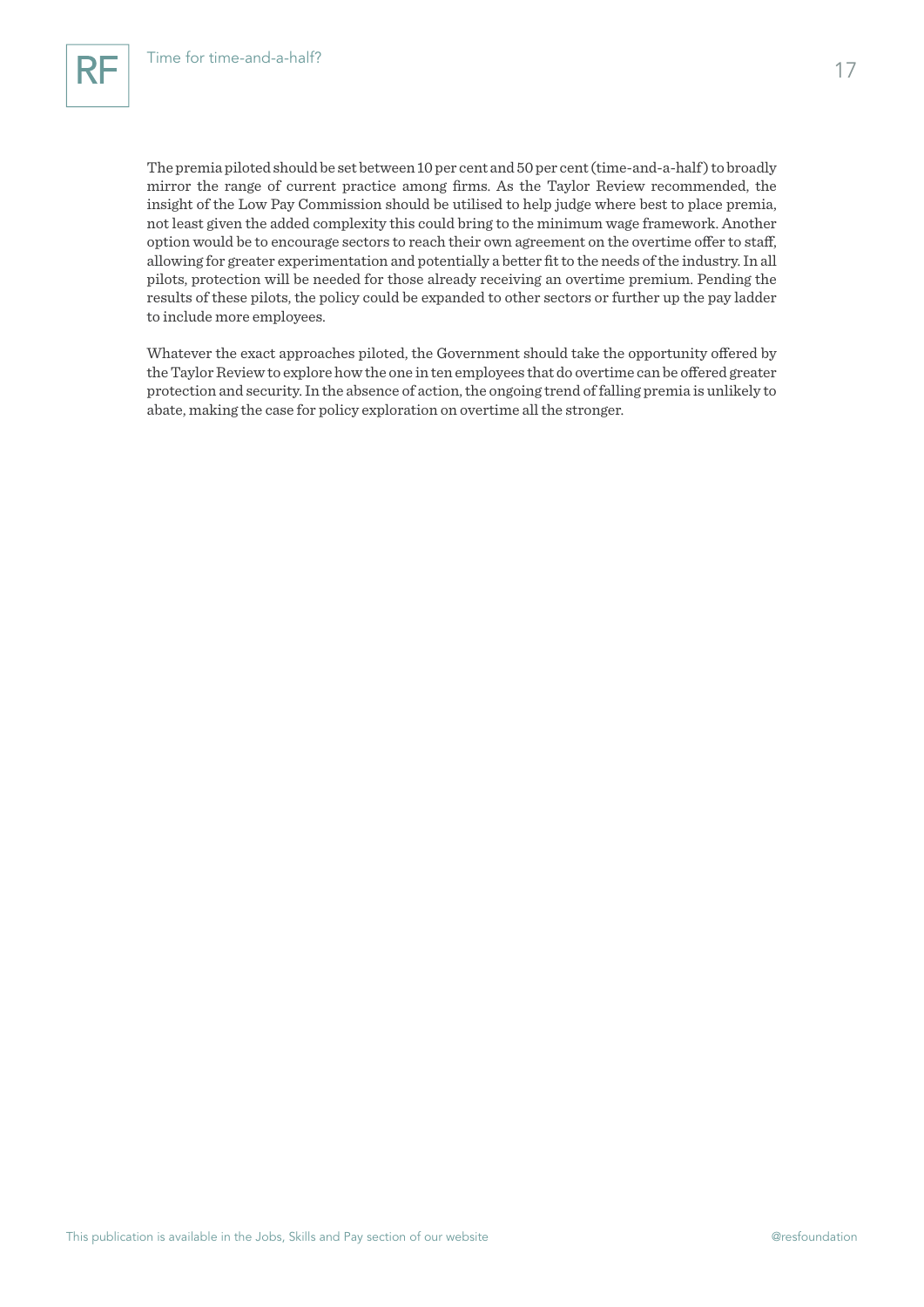The premia piloted should be set between 10 per cent and 50 per cent (time-and-a-half) to broadly mirror the range of current practice among firms. As the Taylor Review recommended, the insight of the Low Pay Commission should be utilised to help judge where best to place premia, not least given the added complexity this could bring to the minimum wage framework. Another option would be to encourage sectors to reach their own agreement on the overtime offer to staff, allowing for greater experimentation and potentially a better fit to the needs of the industry. In all pilots, protection will be needed for those already receiving an overtime premium. Pending the results of these pilots, the policy could be expanded to other sectors or further up the pay ladder to include more employees.

Whatever the exact approaches piloted, the Government should take the opportunity offered by the Taylor Review to explore how the one in ten employees that do overtime can be offered greater protection and security. In the absence of action, the ongoing trend of falling premia is unlikely to abate, making the case for policy exploration on overtime all the stronger.